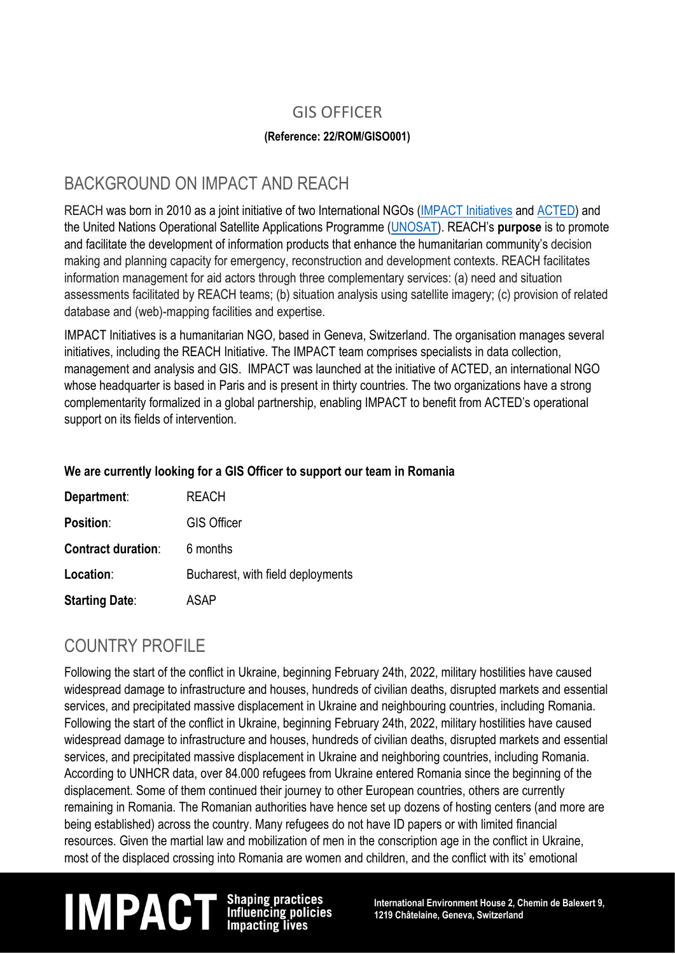## GIS OFFICER

### **(Reference: 22/ROM/GISO001)**

### BACKGROUND ON IMPACT AND REACH

REACH was born in 2010 as a joint initiative of two International NGOs (IMPACT [Initiatives](http://www.impact-initiatives.org/) and [ACTED\)](http://www.acted.org/) and the United Nations Operational Satellite Applications Programme [\(UNOSAT\)](http://www.unitar.org/unosat/). REACH's **purpose** is to promote and facilitate the development of information products that enhance the humanitarian community's decision making and planning capacity for emergency, reconstruction and development contexts. REACH facilitates information management for aid actors through three complementary services: (a) need and situation assessments facilitated by REACH teams; (b) situation analysis using satellite imagery; (c) provision of related database and (web)-mapping facilities and expertise.

IMPACT Initiatives is a humanitarian NGO, based in Geneva, Switzerland. The organisation manages several initiatives, including the REACH Initiative. The IMPACT team comprises specialists in data collection, management and analysis and GIS. IMPACT was launched at the initiative of ACTED, an international NGO whose headquarter is based in Paris and is present in thirty countries. The two organizations have a strong complementarity formalized in a global partnership, enabling IMPACT to benefit from ACTED's operational support on its fields of intervention.

### **We are currently looking for a GIS Officer to support our team in Romania**

| Department:               | <b>REACH</b>                      |
|---------------------------|-----------------------------------|
| <b>Position:</b>          | <b>GIS Officer</b>                |
| <b>Contract duration:</b> | 6 months                          |
| Location:                 | Bucharest, with field deployments |
| <b>Starting Date:</b>     | ASAP                              |

## COUNTRY PROFILE

Following the start of the conflict in Ukraine, beginning February 24th, 2022, military hostilities have caused widespread damage to infrastructure and houses, hundreds of civilian deaths, disrupted markets and essential services, and precipitated massive displacement in Ukraine and neighbouring countries, including Romania. Following the start of the conflict in Ukraine, beginning February 24th, 2022, military hostilities have caused widespread damage to infrastructure and houses, hundreds of civilian deaths, disrupted markets and essential services, and precipitated massive displacement in Ukraine and neighboring countries, including Romania. According to UNHCR data, over 84.000 refugees from Ukraine entered Romania since the beginning of the displacement. Some of them continued their journey to other European countries, others are currently remaining in Romania. The Romanian authorities have hence set up dozens of hosting centers (and more are being established) across the country. Many refugees do not have ID papers or with limited financial resources. Given the martial law and mobilization of men in the conscription age in the conflict in Ukraine, most of the displaced crossing into Romania are women and children, and the conflict with its' emotional

# **IM PACT** Shaping practices<br>Influencing policies 1219 Châtelaine, Geneva, Switzerland<br>Impacting lives

**1219 Châtelaine, Geneva, Switzerland**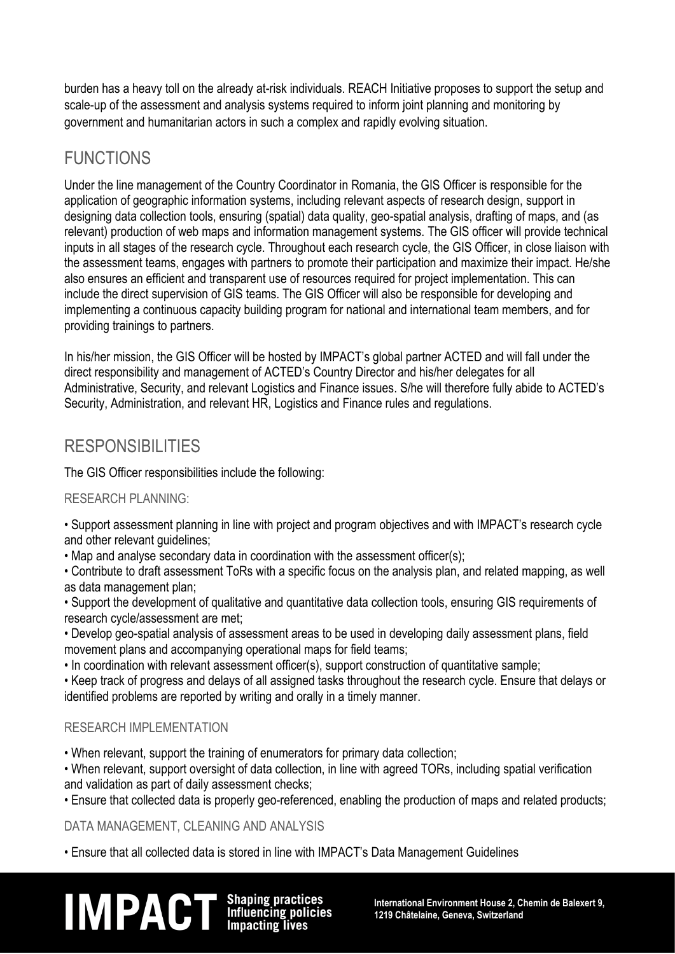burden has a heavy toll on the already at-risk individuals. REACH Initiative proposes to support the setup and scale-up of the assessment and analysis systems required to inform joint planning and monitoring by government and humanitarian actors in such a complex and rapidly evolving situation.

## **FUNCTIONS**

Under the line management of the Country Coordinator in Romania, the GIS Officer is responsible for the application of geographic information systems, including relevant aspects of research design, support in designing data collection tools, ensuring (spatial) data quality, geo-spatial analysis, drafting of maps, and (as relevant) production of web maps and information management systems. The GIS officer will provide technical inputs in all stages of the research cycle. Throughout each research cycle, the GIS Officer, in close liaison with the assessment teams, engages with partners to promote their participation and maximize their impact. He/she also ensures an efficient and transparent use of resources required for project implementation. This can include the direct supervision of GIS teams. The GIS Officer will also be responsible for developing and implementing a continuous capacity building program for national and international team members, and for providing trainings to partners.

In his/her mission, the GIS Officer will be hosted by IMPACT's global partner ACTED and will fall under the direct responsibility and management of ACTED's Country Director and his/her delegates for all Administrative, Security, and relevant Logistics and Finance issues. S/he will therefore fully abide to ACTED's Security, Administration, and relevant HR. Logistics and Finance rules and regulations.

## RESPONSIBILITIES

The GIS Officer responsibilities include the following:

### RESEARCH PLANNING:

• Support assessment planning in line with project and program objectives and with IMPACT's research cycle and other relevant quidelines:

• Map and analyse secondary data in coordination with the assessment officer(s);

• Contribute to draft assessment ToRs with a specific focus on the analysis plan, and related mapping, as well as data management plan;

- Support the development of qualitative and quantitative data collection tools, ensuring GIS requirements of research cycle/assessment are met;
- Develop geo-spatial analysis of assessment areas to be used in developing daily assessment plans, field movement plans and accompanying operational maps for field teams;
- In coordination with relevant assessment officer(s), support construction of quantitative sample;

• Keep track of progress and delays of all assigned tasks throughout the research cycle. Ensure that delays or identified problems are reported by writing and orally in a timely manner.

### RESEARCH IMPLEMENTATION

• When relevant, support the training of enumerators for primary data collection;

• When relevant, support oversight of data collection, in line with agreed TORs, including spatial verification and validation as part of daily assessment checks;

• Ensure that collected data is properly geo-referenced, enabling the production of maps and related products;

DATA MANAGEMENT, CLEANING AND ANALYSIS

• Ensure that all collected data is stored in line with IMPACT's Data Management Guidelines

# **IM PACT** Shaping practices<br>Influencing policies international Environment House 2, Chemin de Balexert 9,<br>Impacting lives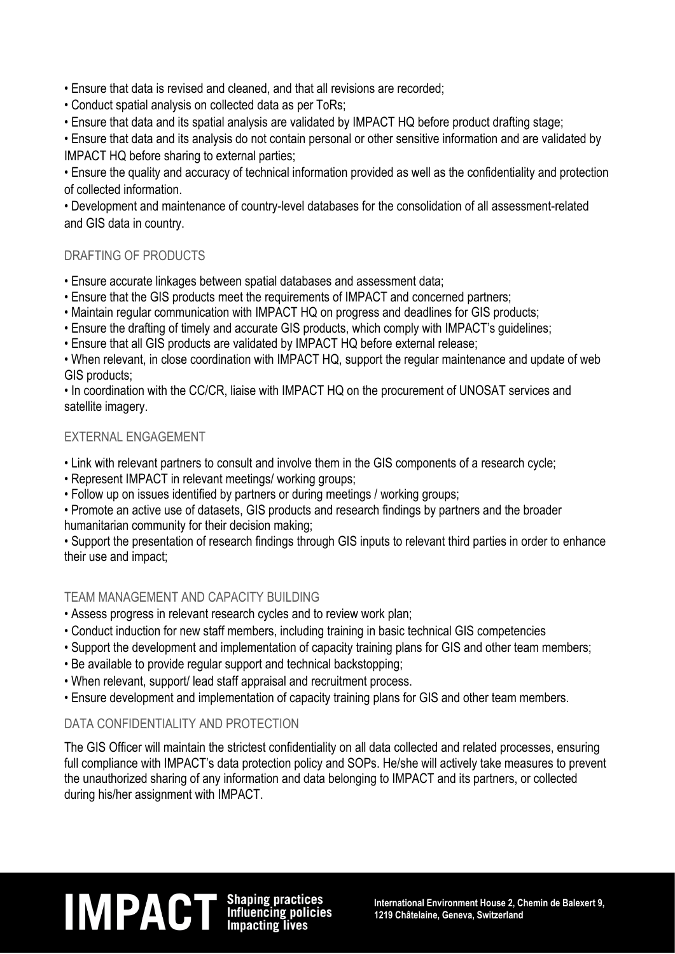• Ensure that data is revised and cleaned, and that all revisions are recorded;

- Conduct spatial analysis on collected data as per ToRs;
- Ensure that data and its spatial analysis are validated by IMPACT HQ before product drafting stage;

• Ensure that data and its analysis do not contain personal or other sensitive information and are validated by IMPACT HQ before sharing to external parties;

• Ensure the quality and accuracy of technical information provided as well as the confidentiality and protection of collected information.

• Development and maintenance of country-level databases for the consolidation of all assessment-related and GIS data in country.

### DRAFTING OF PRODUCTS

- Ensure accurate linkages between spatial databases and assessment data;
- Ensure that the GIS products meet the requirements of IMPACT and concerned partners;
- Maintain regular communication with IMPACT HQ on progress and deadlines for GIS products;
- Ensure the drafting of timely and accurate GIS products, which comply with IMPACT's guidelines;
- Ensure that all GIS products are validated by IMPACT HQ before external release;

• When relevant, in close coordination with IMPACT HQ, support the regular maintenance and update of web GIS products;

• In coordination with the CC/CR, liaise with IMPACT HQ on the procurement of UNOSAT services and satellite imagery.

### EXTERNAL ENGAGEMENT

- Link with relevant partners to consult and involve them in the GIS components of a research cycle;
- Represent IMPACT in relevant meetings/ working groups;
- Follow up on issues identified by partners or during meetings / working groups;

• Promote an active use of datasets, GIS products and research findings by partners and the broader humanitarian community for their decision making;

• Support the presentation of research findings through GIS inputs to relevant third parties in order to enhance their use and impact;

#### TEAM MANAGEMENT AND CAPACITY BUILDING

- Assess progress in relevant research cycles and to review work plan;
- Conduct induction for new staff members, including training in basic technical GIS competencies
- Support the development and implementation of capacity training plans for GIS and other team members;
- Be available to provide regular support and technical backstopping;
- When relevant, support/ lead staff appraisal and recruitment process.
- Ensure development and implementation of capacity training plans for GIS and other team members.

### DATA CONFIDENTIALITY AND PROTECTION

The GIS Officer will maintain the strictest confidentiality on all data collected and related processes, ensuring full compliance with IMPACT's data protection policy and SOPs. He/she will actively take measures to prevent the unauthorized sharing of any information and data belonging to IMPACT and its partners, or collected during his/her assignment with IMPACT.

## **IM PACT** Shaping practices<br>Influencing policies international Environment House 2, Chemin de Balexert 9,<br>Impacting lives